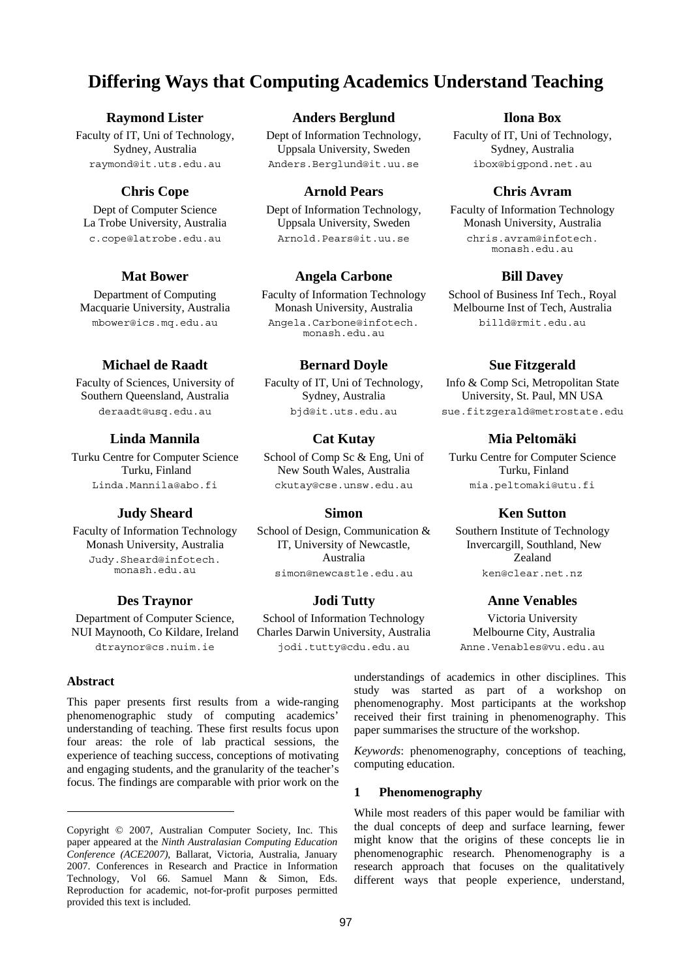# **Differing Ways that Computing Academics Understand Teaching**

### **Raymond Lister**

Faculty of IT, Uni of Technology, Sydney, Australia raymond@it.uts.edu.au

### **Chris Cope**

Dept of Computer Science La Trobe University, Australia c.cope@latrobe.edu.au

# **Mat Bower**

Department of Computing Macquarie University, Australia mbower@ics.mq.edu.au

## **Michael de Raadt**

Faculty of Sciences, University of Southern Queensland, Australia deraadt@usq.edu.au

#### **Linda Mannila**

Turku Centre for Computer Science Turku, Finland Linda.Mannila@abo.fi

#### **Judy Sheard**

Faculty of Information Technology Monash University, Australia Judy.Sheard@infotech. monash.edu.au

#### **Des Traynor**

Department of Computer Science, NUI Maynooth, Co Kildare, Ireland dtraynor@cs.nuim.ie

#### **Abstract**.

-

This paper presents first results from a wide-ranging phenomenographic study of computing academics' understanding of teaching. These first results focus upon four areas: the role of lab practical sessions, the experience of teaching success, conceptions of motivating and engaging students, and the granularity of the teacher's focus. The findings are comparable with prior work on the

# **Anders Berglund**

Dept of Information Technology, Uppsala University, Sweden Anders.Berglund@it.uu.se

#### **Arnold Pears**

Dept of Information Technology, Uppsala University, Sweden Arnold.Pears@it.uu.se

### **Angela Carbone**

Faculty of Information Technology Monash University, Australia Angela.Carbone@infotech. monash.edu.au

### **Bernard Doyle**

Faculty of IT, Uni of Technology, Sydney, Australia bjd@it.uts.edu.au

### **Cat Kutay**

School of Comp Sc & Eng, Uni of New South Wales, Australia ckutay@cse.unsw.edu.au

#### **Simon**

School of Design, Communication & IT, University of Newcastle, Australia simon@newcastle.edu.au

#### **Jodi Tutty**

School of Information Technology Charles Darwin University, Australia jodi.tutty@cdu.edu.au

### **Ilona Box**

Faculty of IT, Uni of Technology, Sydney, Australia ibox@bigpond.net.au

#### **Chris Avram**

Faculty of Information Technology Monash University, Australia chris.avram@infotech. monash.edu.au

#### **Bill Davey**

School of Business Inf Tech., Royal Melbourne Inst of Tech, Australia billd@rmit.edu.au

### **Sue Fitzgerald**

Info & Comp Sci, Metropolitan State University, St. Paul, MN USA sue.fitzgerald@metrostate.edu

### **Mia Peltomäki**

Turku Centre for Computer Science Turku, Finland mia.peltomaki@utu.fi

#### **Ken Sutton**

Southern Institute of Technology Invercargill, Southland, New Zealand ken@clear.net.nz

#### **Anne Venables**

Victoria University Melbourne City, Australia Anne.Venables@vu.edu.au

understandings of academics in other disciplines. This study was started as part of a workshop on phenomenography. Most participants at the workshop received their first training in phenomenography. This paper summarises the structure of the workshop.

*Keywords*: phenomenography, conceptions of teaching, computing education.

#### **1 Phenomenography**

While most readers of this paper would be familiar with the dual concepts of deep and surface learning, fewer might know that the origins of these concepts lie in phenomenographic research. Phenomenography is a research approach that focuses on the qualitatively different ways that people experience, understand,

Copyright © 2007, Australian Computer Society, Inc. This paper appeared at the *Ninth Australasian Computing Education Conference (ACE2007)*, Ballarat, Victoria, Australia, January 2007. Conferences in Research and Practice in Information Technology, Vol 66. Samuel Mann & Simon, Eds. Reproduction for academic, not-for-profit purposes permitted provided this text is included.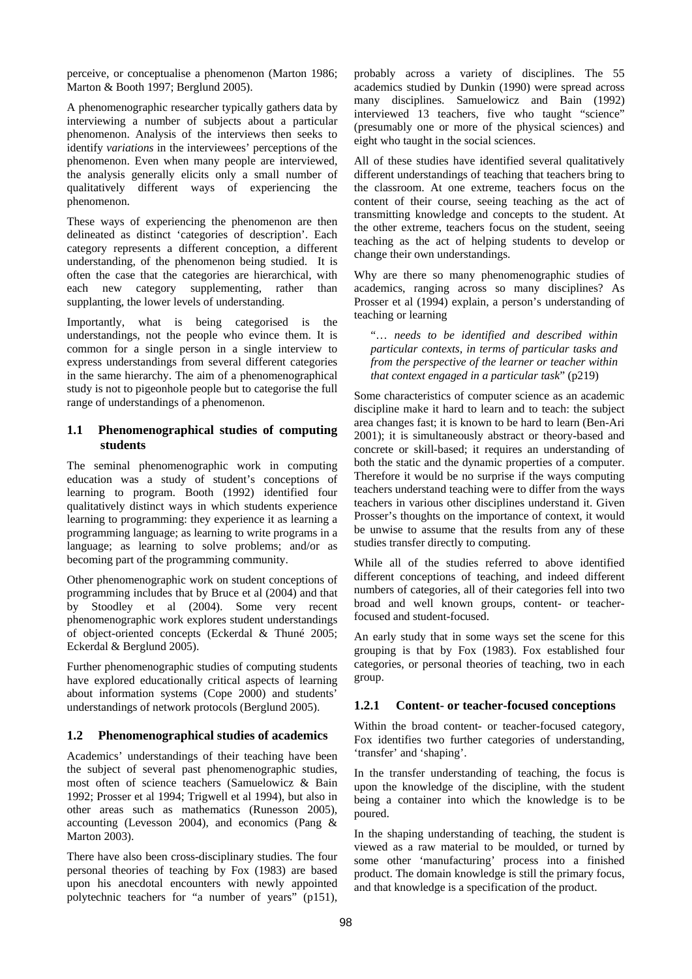perceive, or conceptualise a phenomenon (Marton 1986; Marton & Booth 1997; Berglund 2005).

A phenomenographic researcher typically gathers data by interviewing a number of subjects about a particular phenomenon. Analysis of the interviews then seeks to identify *variations* in the interviewees' perceptions of the phenomenon. Even when many people are interviewed, the analysis generally elicits only a small number of qualitatively different ways of experiencing the phenomenon.

These ways of experiencing the phenomenon are then delineated as distinct 'categories of description'. Each category represents a different conception, a different understanding, of the phenomenon being studied. It is often the case that the categories are hierarchical, with each new category supplementing, rather than supplanting, the lower levels of understanding.

Importantly, what is being categorised is the understandings, not the people who evince them. It is common for a single person in a single interview to express understandings from several different categories in the same hierarchy. The aim of a phenomenographical study is not to pigeonhole people but to categorise the full range of understandings of a phenomenon.

### **1.1 Phenomenographical studies of computing students**

The seminal phenomenographic work in computing education was a study of student's conceptions of learning to program. Booth (1992) identified four qualitatively distinct ways in which students experience learning to programming: they experience it as learning a programming language; as learning to write programs in a language; as learning to solve problems; and/or as becoming part of the programming community.

Other phenomenographic work on student conceptions of programming includes that by Bruce et al (2004) and that by Stoodley et al (2004). Some very recent phenomenographic work explores student understandings of object-oriented concepts (Eckerdal & Thuné 2005; Eckerdal & Berglund 2005).

Further phenomenographic studies of computing students have explored educationally critical aspects of learning about information systems (Cope 2000) and students' understandings of network protocols (Berglund 2005).

### **1.2 Phenomenographical studies of academics**

Academics' understandings of their teaching have been the subject of several past phenomenographic studies, most often of science teachers (Samuelowicz & Bain 1992; Prosser et al 1994; Trigwell et al 1994), but also in other areas such as mathematics (Runesson 2005), accounting (Levesson 2004), and economics (Pang & Marton 2003).

There have also been cross-disciplinary studies. The four personal theories of teaching by Fox (1983) are based upon his anecdotal encounters with newly appointed polytechnic teachers for "a number of years" (p151), probably across a variety of disciplines. The 55 academics studied by Dunkin (1990) were spread across many disciplines. Samuelowicz and Bain (1992) interviewed 13 teachers, five who taught "science" (presumably one or more of the physical sciences) and eight who taught in the social sciences.

All of these studies have identified several qualitatively different understandings of teaching that teachers bring to the classroom. At one extreme, teachers focus on the content of their course, seeing teaching as the act of transmitting knowledge and concepts to the student. At the other extreme, teachers focus on the student, seeing teaching as the act of helping students to develop or change their own understandings.

Why are there so many phenomenographic studies of academics, ranging across so many disciplines? As Prosser et al (1994) explain, a person's understanding of teaching or learning

"… *needs to be identified and described within particular contexts, in terms of particular tasks and from the perspective of the learner or teacher within that context engaged in a particular task*" (p219)

Some characteristics of computer science as an academic discipline make it hard to learn and to teach: the subject area changes fast; it is known to be hard to learn (Ben-Ari 2001); it is simultaneously abstract or theory-based and concrete or skill-based; it requires an understanding of both the static and the dynamic properties of a computer. Therefore it would be no surprise if the ways computing teachers understand teaching were to differ from the ways teachers in various other disciplines understand it. Given Prosser's thoughts on the importance of context, it would be unwise to assume that the results from any of these studies transfer directly to computing.

While all of the studies referred to above identified different conceptions of teaching, and indeed different numbers of categories, all of their categories fell into two broad and well known groups, content- or teacherfocused and student-focused.

An early study that in some ways set the scene for this grouping is that by Fox (1983). Fox established four categories, or personal theories of teaching, two in each group.

# **1.2.1 Content- or teacher-focused conceptions**

Within the broad content- or teacher-focused category, Fox identifies two further categories of understanding, 'transfer' and 'shaping'.

In the transfer understanding of teaching, the focus is upon the knowledge of the discipline, with the student being a container into which the knowledge is to be poured.

In the shaping understanding of teaching, the student is viewed as a raw material to be moulded, or turned by some other 'manufacturing' process into a finished product. The domain knowledge is still the primary focus, and that knowledge is a specification of the product.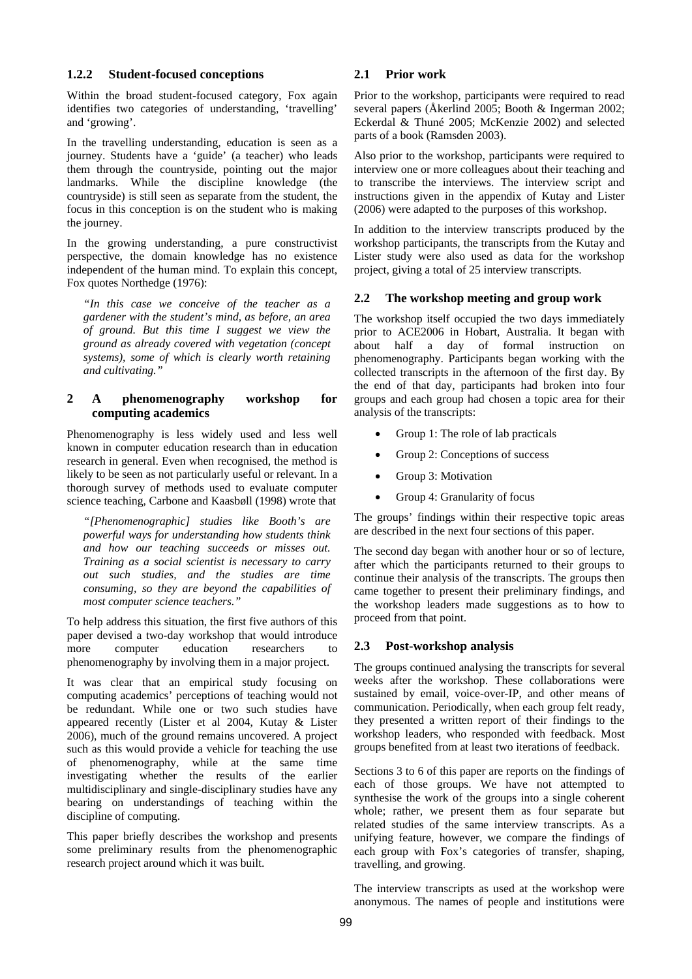### **1.2.2 Student-focused conceptions**

Within the broad student-focused category, Fox again identifies two categories of understanding, 'travelling' and 'growing'.

In the travelling understanding, education is seen as a journey. Students have a 'guide' (a teacher) who leads them through the countryside, pointing out the major landmarks. While the discipline knowledge (the countryside) is still seen as separate from the student, the focus in this conception is on the student who is making the journey.

In the growing understanding, a pure constructivist perspective, the domain knowledge has no existence independent of the human mind. To explain this concept, Fox quotes Northedge (1976):

*"In this case we conceive of the teacher as a gardener with the student's mind, as before, an area of ground. But this time I suggest we view the ground as already covered with vegetation (concept systems), some of which is clearly worth retaining and cultivating."* 

## **2 A phenomenography workshop for computing academics**

Phenomenography is less widely used and less well known in computer education research than in education research in general. Even when recognised, the method is likely to be seen as not particularly useful or relevant. In a thorough survey of methods used to evaluate computer science teaching, Carbone and Kaasbøll (1998) wrote that

*"[Phenomenographic] studies like Booth's are powerful ways for understanding how students think and how our teaching succeeds or misses out. Training as a social scientist is necessary to carry out such studies, and the studies are time consuming, so they are beyond the capabilities of most computer science teachers."* 

To help address this situation, the first five authors of this paper devised a two-day workshop that would introduce more computer education researchers to phenomenography by involving them in a major project.

It was clear that an empirical study focusing on computing academics' perceptions of teaching would not be redundant. While one or two such studies have appeared recently (Lister et al 2004, Kutay & Lister 2006), much of the ground remains uncovered. A project such as this would provide a vehicle for teaching the use of phenomenography, while at the same time investigating whether the results of the earlier multidisciplinary and single-disciplinary studies have any bearing on understandings of teaching within the discipline of computing.

This paper briefly describes the workshop and presents some preliminary results from the phenomenographic research project around which it was built.

# **2.1 Prior work**

Prior to the workshop, participants were required to read several papers (Åkerlind 2005; Booth & Ingerman 2002; Eckerdal & Thuné 2005; McKenzie 2002) and selected parts of a book (Ramsden 2003).

Also prior to the workshop, participants were required to interview one or more colleagues about their teaching and to transcribe the interviews. The interview script and instructions given in the appendix of Kutay and Lister (2006) were adapted to the purposes of this workshop.

In addition to the interview transcripts produced by the workshop participants, the transcripts from the Kutay and Lister study were also used as data for the workshop project, giving a total of 25 interview transcripts.

### **2.2 The workshop meeting and group work**

The workshop itself occupied the two days immediately prior to ACE2006 in Hobart, Australia. It began with about half a day of formal instruction on phenomenography. Participants began working with the collected transcripts in the afternoon of the first day. By the end of that day, participants had broken into four groups and each group had chosen a topic area for their analysis of the transcripts:

- Group 1: The role of lab practicals
- Group 2: Conceptions of success
- Group 3: Motivation
- Group 4: Granularity of focus

The groups' findings within their respective topic areas are described in the next four sections of this paper.

The second day began with another hour or so of lecture, after which the participants returned to their groups to continue their analysis of the transcripts. The groups then came together to present their preliminary findings, and the workshop leaders made suggestions as to how to proceed from that point.

### **2.3 Post-workshop analysis**

The groups continued analysing the transcripts for several weeks after the workshop. These collaborations were sustained by email, voice-over-IP, and other means of communication. Periodically, when each group felt ready, they presented a written report of their findings to the workshop leaders, who responded with feedback. Most groups benefited from at least two iterations of feedback.

Sections 3 to 6 of this paper are reports on the findings of each of those groups. We have not attempted to synthesise the work of the groups into a single coherent whole; rather, we present them as four separate but related studies of the same interview transcripts. As a unifying feature, however, we compare the findings of each group with Fox's categories of transfer, shaping, travelling, and growing.

The interview transcripts as used at the workshop were anonymous. The names of people and institutions were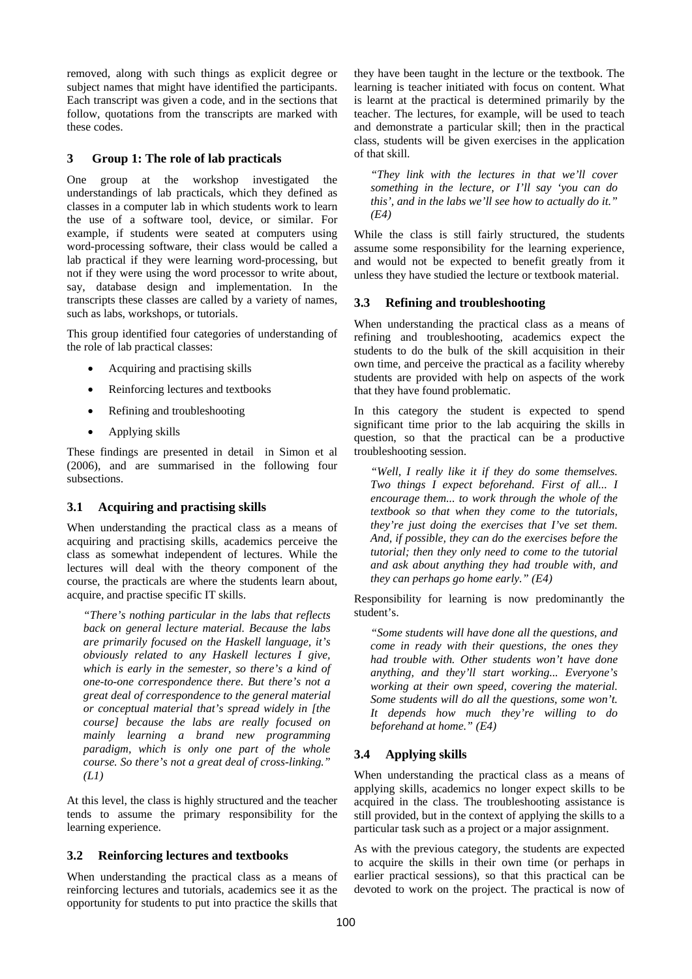removed, along with such things as explicit degree or subject names that might have identified the participants. Each transcript was given a code, and in the sections that follow, quotations from the transcripts are marked with these codes.

### **3 Group 1: The role of lab practicals**

One group at the workshop investigated the understandings of lab practicals, which they defined as classes in a computer lab in which students work to learn the use of a software tool, device, or similar. For example, if students were seated at computers using word-processing software, their class would be called a lab practical if they were learning word-processing, but not if they were using the word processor to write about, say, database design and implementation. In the transcripts these classes are called by a variety of names, such as labs, workshops, or tutorials.

This group identified four categories of understanding of the role of lab practical classes:

- Acquiring and practising skills
- Reinforcing lectures and textbooks
- Refining and troubleshooting
- Applying skills

These findings are presented in detail in Simon et al (2006), and are summarised in the following four subsections.

# **3.1 Acquiring and practising skills**

When understanding the practical class as a means of acquiring and practising skills, academics perceive the class as somewhat independent of lectures. While the lectures will deal with the theory component of the course, the practicals are where the students learn about, acquire, and practise specific IT skills.

*"There's nothing particular in the labs that reflects back on general lecture material. Because the labs are primarily focused on the Haskell language, it's obviously related to any Haskell lectures I give, which is early in the semester, so there's a kind of one-to-one correspondence there. But there's not a great deal of correspondence to the general material or conceptual material that's spread widely in [the course] because the labs are really focused on mainly learning a brand new programming paradigm, which is only one part of the whole course. So there's not a great deal of cross-linking." (L1)* 

At this level, the class is highly structured and the teacher tends to assume the primary responsibility for the learning experience.

# **3.2 Reinforcing lectures and textbooks**

When understanding the practical class as a means of reinforcing lectures and tutorials, academics see it as the opportunity for students to put into practice the skills that

they have been taught in the lecture or the textbook. The learning is teacher initiated with focus on content. What is learnt at the practical is determined primarily by the teacher. The lectures, for example, will be used to teach and demonstrate a particular skill; then in the practical class, students will be given exercises in the application of that skill.

*"They link with the lectures in that we'll cover something in the lecture, or I'll say 'you can do this', and in the labs we'll see how to actually do it." (E4)* 

While the class is still fairly structured, the students assume some responsibility for the learning experience, and would not be expected to benefit greatly from it unless they have studied the lecture or textbook material.

### **3.3 Refining and troubleshooting**

When understanding the practical class as a means of refining and troubleshooting, academics expect the students to do the bulk of the skill acquisition in their own time, and perceive the practical as a facility whereby students are provided with help on aspects of the work that they have found problematic.

In this category the student is expected to spend significant time prior to the lab acquiring the skills in question, so that the practical can be a productive troubleshooting session.

*"Well, I really like it if they do some themselves. Two things I expect beforehand. First of all... I encourage them... to work through the whole of the textbook so that when they come to the tutorials, they're just doing the exercises that I've set them. And, if possible, they can do the exercises before the tutorial; then they only need to come to the tutorial and ask about anything they had trouble with, and they can perhaps go home early." (E4)* 

Responsibility for learning is now predominantly the student's.

*"Some students will have done all the questions, and come in ready with their questions, the ones they had trouble with. Other students won't have done anything, and they'll start working... Everyone's working at their own speed, covering the material. Some students will do all the questions, some won't. It depends how much they're willing to do beforehand at home." (E4)* 

# **3.4 Applying skills**

When understanding the practical class as a means of applying skills, academics no longer expect skills to be acquired in the class. The troubleshooting assistance is still provided, but in the context of applying the skills to a particular task such as a project or a major assignment.

As with the previous category, the students are expected to acquire the skills in their own time (or perhaps in earlier practical sessions), so that this practical can be devoted to work on the project. The practical is now of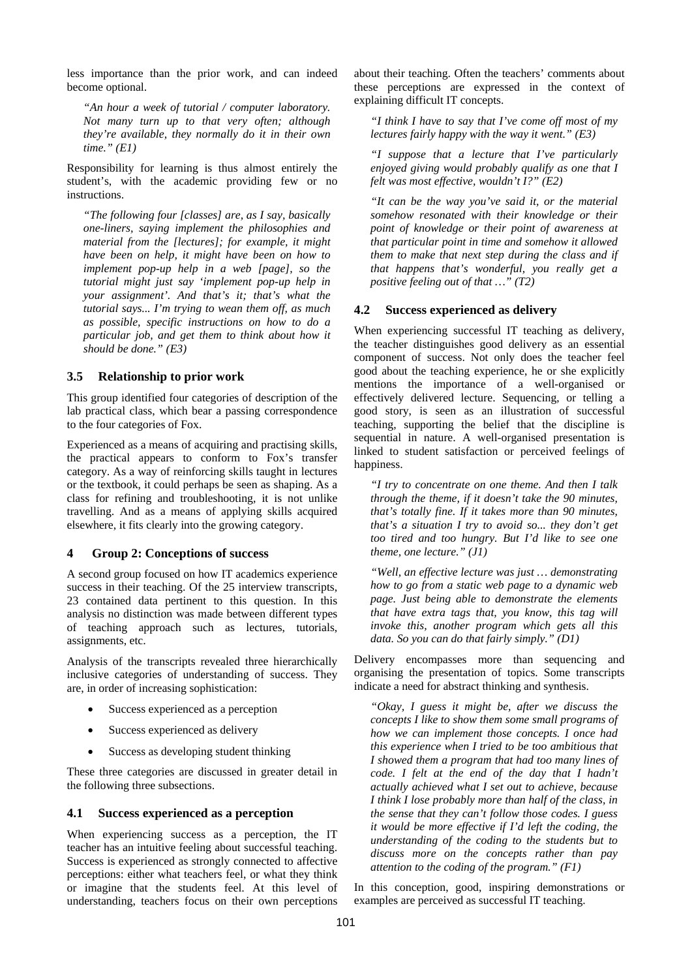less importance than the prior work, and can indeed become optional.

*"An hour a week of tutorial / computer laboratory. Not many turn up to that very often; although they're available, they normally do it in their own time." (E1)* 

Responsibility for learning is thus almost entirely the student's, with the academic providing few or no instructions.

*"The following four [classes] are, as I say, basically one-liners, saying implement the philosophies and material from the [lectures]; for example, it might have been on help, it might have been on how to implement pop-up help in a web [page], so the tutorial might just say 'implement pop-up help in your assignment'. And that's it; that's what the tutorial says... I'm trying to wean them off, as much as possible, specific instructions on how to do a particular job, and get them to think about how it should be done." (E3)* 

### **3.5 Relationship to prior work**

This group identified four categories of description of the lab practical class, which bear a passing correspondence to the four categories of Fox.

Experienced as a means of acquiring and practising skills, the practical appears to conform to Fox's transfer category. As a way of reinforcing skills taught in lectures or the textbook, it could perhaps be seen as shaping. As a class for refining and troubleshooting, it is not unlike travelling. And as a means of applying skills acquired elsewhere, it fits clearly into the growing category.

### **4 Group 2: Conceptions of success**

A second group focused on how IT academics experience success in their teaching. Of the 25 interview transcripts, 23 contained data pertinent to this question. In this analysis no distinction was made between different types of teaching approach such as lectures, tutorials, assignments, etc.

Analysis of the transcripts revealed three hierarchically inclusive categories of understanding of success. They are, in order of increasing sophistication:

- Success experienced as a perception
- Success experienced as delivery
- Success as developing student thinking

These three categories are discussed in greater detail in the following three subsections.

### **4.1 Success experienced as a perception**

When experiencing success as a perception, the IT teacher has an intuitive feeling about successful teaching. Success is experienced as strongly connected to affective perceptions: either what teachers feel, or what they think or imagine that the students feel. At this level of understanding, teachers focus on their own perceptions about their teaching. Often the teachers' comments about these perceptions are expressed in the context of explaining difficult IT concepts.

*"I think I have to say that I've come off most of my lectures fairly happy with the way it went." (E3)* 

*"I suppose that a lecture that I've particularly enjoyed giving would probably qualify as one that I felt was most effective, wouldn't I?" (E2)* 

*"It can be the way you've said it, or the material somehow resonated with their knowledge or their point of knowledge or their point of awareness at that particular point in time and somehow it allowed them to make that next step during the class and if that happens that's wonderful, you really get a positive feeling out of that …" (T2)* 

### **4.2 Success experienced as delivery**

When experiencing successful IT teaching as delivery, the teacher distinguishes good delivery as an essential component of success. Not only does the teacher feel good about the teaching experience, he or she explicitly mentions the importance of a well-organised or effectively delivered lecture. Sequencing, or telling a good story, is seen as an illustration of successful teaching, supporting the belief that the discipline is sequential in nature. A well-organised presentation is linked to student satisfaction or perceived feelings of happiness.

*"I try to concentrate on one theme. And then I talk through the theme, if it doesn't take the 90 minutes, that's totally fine. If it takes more than 90 minutes, that's a situation I try to avoid so... they don't get too tired and too hungry. But I'd like to see one theme, one lecture." (J1)* 

*"Well, an effective lecture was just … demonstrating how to go from a static web page to a dynamic web page. Just being able to demonstrate the elements that have extra tags that, you know, this tag will invoke this, another program which gets all this data. So you can do that fairly simply." (D1)* 

Delivery encompasses more than sequencing and organising the presentation of topics. Some transcripts indicate a need for abstract thinking and synthesis.

*"Okay, I guess it might be, after we discuss the concepts I like to show them some small programs of how we can implement those concepts. I once had this experience when I tried to be too ambitious that I showed them a program that had too many lines of code. I felt at the end of the day that I hadn't actually achieved what I set out to achieve, because I think I lose probably more than half of the class, in the sense that they can't follow those codes. I guess it would be more effective if I'd left the coding, the understanding of the coding to the students but to discuss more on the concepts rather than pay attention to the coding of the program." (F1)* 

In this conception, good, inspiring demonstrations or examples are perceived as successful IT teaching.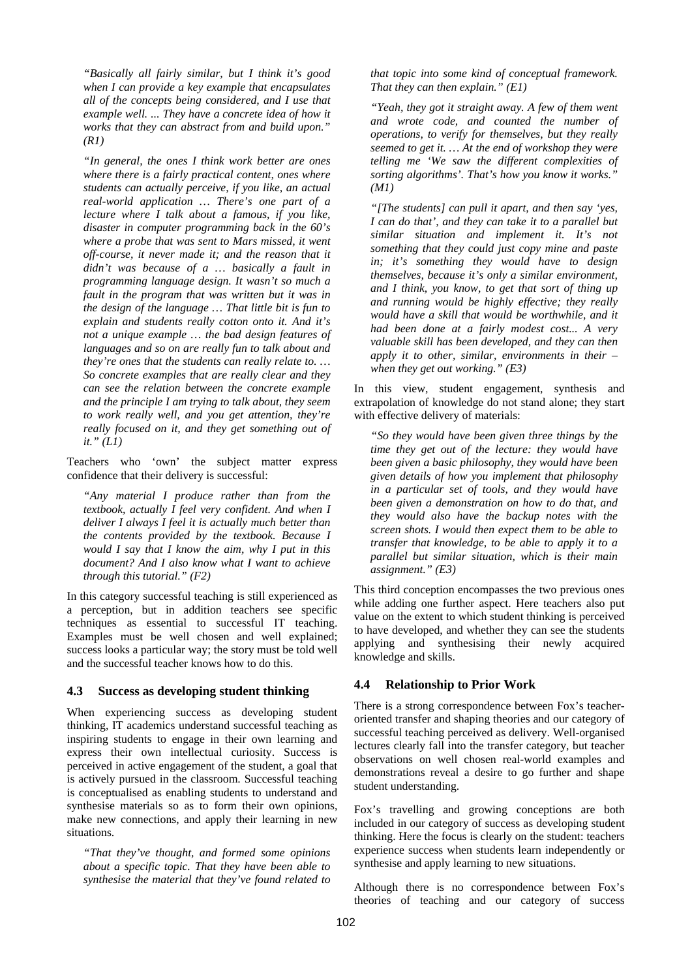*"Basically all fairly similar, but I think it's good when I can provide a key example that encapsulates all of the concepts being considered, and I use that example well. ... They have a concrete idea of how it works that they can abstract from and build upon." (R1)* 

*"In general, the ones I think work better are ones where there is a fairly practical content, ones where students can actually perceive, if you like, an actual real-world application … There's one part of a lecture where I talk about a famous, if you like, disaster in computer programming back in the 60's where a probe that was sent to Mars missed, it went off-course, it never made it; and the reason that it didn't was because of a … basically a fault in programming language design. It wasn't so much a fault in the program that was written but it was in the design of the language … That little bit is fun to explain and students really cotton onto it. And it's not a unique example … the bad design features of languages and so on are really fun to talk about and they're ones that the students can really relate to. … So concrete examples that are really clear and they can see the relation between the concrete example and the principle I am trying to talk about, they seem to work really well, and you get attention, they're really focused on it, and they get something out of it." (L1)* 

Teachers who 'own' the subject matter express confidence that their delivery is successful:

*"Any material I produce rather than from the textbook, actually I feel very confident. And when I deliver I always I feel it is actually much better than the contents provided by the textbook. Because I would I say that I know the aim, why I put in this document? And I also know what I want to achieve through this tutorial." (F2)* 

In this category successful teaching is still experienced as a perception, but in addition teachers see specific techniques as essential to successful IT teaching. Examples must be well chosen and well explained; success looks a particular way; the story must be told well and the successful teacher knows how to do this.

#### **4.3 Success as developing student thinking**

When experiencing success as developing student thinking, IT academics understand successful teaching as inspiring students to engage in their own learning and express their own intellectual curiosity. Success is perceived in active engagement of the student, a goal that is actively pursued in the classroom. Successful teaching is conceptualised as enabling students to understand and synthesise materials so as to form their own opinions, make new connections, and apply their learning in new situations.

*"That they've thought, and formed some opinions about a specific topic. That they have been able to synthesise the material that they've found related to* 

*that topic into some kind of conceptual framework. That they can then explain." (E1)* 

*"Yeah, they got it straight away. A few of them went and wrote code, and counted the number of operations, to verify for themselves, but they really seemed to get it. … At the end of workshop they were telling me 'We saw the different complexities of sorting algorithms'. That's how you know it works." (M1)* 

*"[The students] can pull it apart, and then say 'yes, I can do that', and they can take it to a parallel but similar situation and implement it. It's not something that they could just copy mine and paste in; it's something they would have to design themselves, because it's only a similar environment, and I think, you know, to get that sort of thing up and running would be highly effective; they really would have a skill that would be worthwhile, and it had been done at a fairly modest cost... A very valuable skill has been developed, and they can then apply it to other, similar, environments in their – when they get out working." (E3)* 

In this view, student engagement, synthesis and extrapolation of knowledge do not stand alone; they start with effective delivery of materials:

*"So they would have been given three things by the time they get out of the lecture: they would have been given a basic philosophy, they would have been given details of how you implement that philosophy in a particular set of tools, and they would have been given a demonstration on how to do that, and they would also have the backup notes with the screen shots. I would then expect them to be able to transfer that knowledge, to be able to apply it to a parallel but similar situation, which is their main assignment." (E3)* 

This third conception encompasses the two previous ones while adding one further aspect. Here teachers also put value on the extent to which student thinking is perceived to have developed, and whether they can see the students applying and synthesising their newly acquired knowledge and skills.

### **4.4 Relationship to Prior Work**

There is a strong correspondence between Fox's teacheroriented transfer and shaping theories and our category of successful teaching perceived as delivery. Well-organised lectures clearly fall into the transfer category, but teacher observations on well chosen real-world examples and demonstrations reveal a desire to go further and shape student understanding.

Fox's travelling and growing conceptions are both included in our category of success as developing student thinking. Here the focus is clearly on the student: teachers experience success when students learn independently or synthesise and apply learning to new situations.

Although there is no correspondence between Fox's theories of teaching and our category of success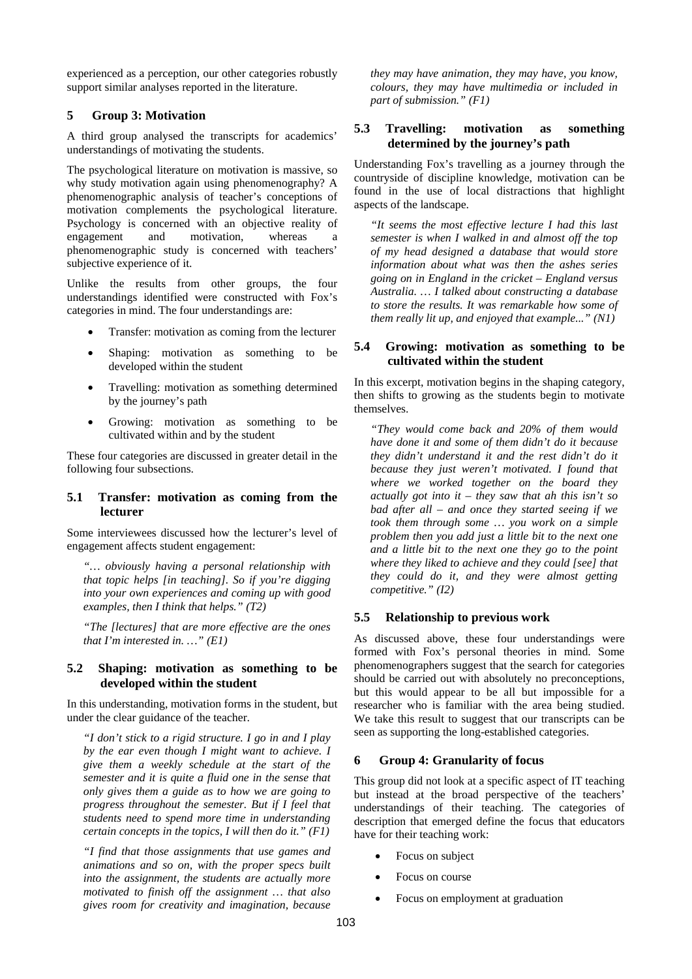experienced as a perception, our other categories robustly support similar analyses reported in the literature.

# **5 Group 3: Motivation**

A third group analysed the transcripts for academics' understandings of motivating the students.

The psychological literature on motivation is massive, so why study motivation again using phenomenography? A phenomenographic analysis of teacher's conceptions of motivation complements the psychological literature. Psychology is concerned with an objective reality of engagement and motivation, whereas a phenomenographic study is concerned with teachers' subjective experience of it.

Unlike the results from other groups, the four understandings identified were constructed with Fox's categories in mind. The four understandings are:

- Transfer: motivation as coming from the lecturer
- Shaping: motivation as something to be developed within the student
- Travelling: motivation as something determined by the journey's path
- Growing: motivation as something to be cultivated within and by the student

These four categories are discussed in greater detail in the following four subsections.

### **5.1 Transfer: motivation as coming from the lecturer**

Some interviewees discussed how the lecturer's level of engagement affects student engagement:

*"… obviously having a personal relationship with that topic helps [in teaching]. So if you're digging into your own experiences and coming up with good examples, then I think that helps." (T2)* 

*"The [lectures] that are more effective are the ones that I'm interested in. …" (E1)* 

### **5.2 Shaping: motivation as something to be developed within the student**

In this understanding, motivation forms in the student, but under the clear guidance of the teacher.

*"I don't stick to a rigid structure. I go in and I play by the ear even though I might want to achieve. I give them a weekly schedule at the start of the semester and it is quite a fluid one in the sense that only gives them a guide as to how we are going to progress throughout the semester. But if I feel that students need to spend more time in understanding certain concepts in the topics, I will then do it." (F1)* 

*"I find that those assignments that use games and animations and so on, with the proper specs built into the assignment, the students are actually more motivated to finish off the assignment … that also gives room for creativity and imagination, because* 

*they may have animation, they may have, you know, colours, they may have multimedia or included in part of submission." (F1)*

## **5.3 Travelling: motivation as something determined by the journey's path**

Understanding Fox's travelling as a journey through the countryside of discipline knowledge, motivation can be found in the use of local distractions that highlight aspects of the landscape.

*"It seems the most effective lecture I had this last semester is when I walked in and almost off the top of my head designed a database that would store information about what was then the ashes series going on in England in the cricket – England versus Australia. … I talked about constructing a database to store the results. It was remarkable how some of them really lit up, and enjoyed that example..." (N1)* 

# **5.4 Growing: motivation as something to be cultivated within the student**

In this excerpt, motivation begins in the shaping category, then shifts to growing as the students begin to motivate themselves.

*"They would come back and 20% of them would have done it and some of them didn't do it because they didn't understand it and the rest didn't do it because they just weren't motivated. I found that where we worked together on the board they actually got into it – they saw that ah this isn't so bad after all – and once they started seeing if we took them through some … you work on a simple problem then you add just a little bit to the next one and a little bit to the next one they go to the point where they liked to achieve and they could [see] that they could do it, and they were almost getting competitive." (I2)* 

### **5.5 Relationship to previous work**

As discussed above, these four understandings were formed with Fox's personal theories in mind. Some phenomenographers suggest that the search for categories should be carried out with absolutely no preconceptions, but this would appear to be all but impossible for a researcher who is familiar with the area being studied. We take this result to suggest that our transcripts can be seen as supporting the long-established categories.

### **6 Group 4: Granularity of focus**

This group did not look at a specific aspect of IT teaching but instead at the broad perspective of the teachers' understandings of their teaching. The categories of description that emerged define the focus that educators have for their teaching work:

- Focus on subject
- Focus on course
- Focus on employment at graduation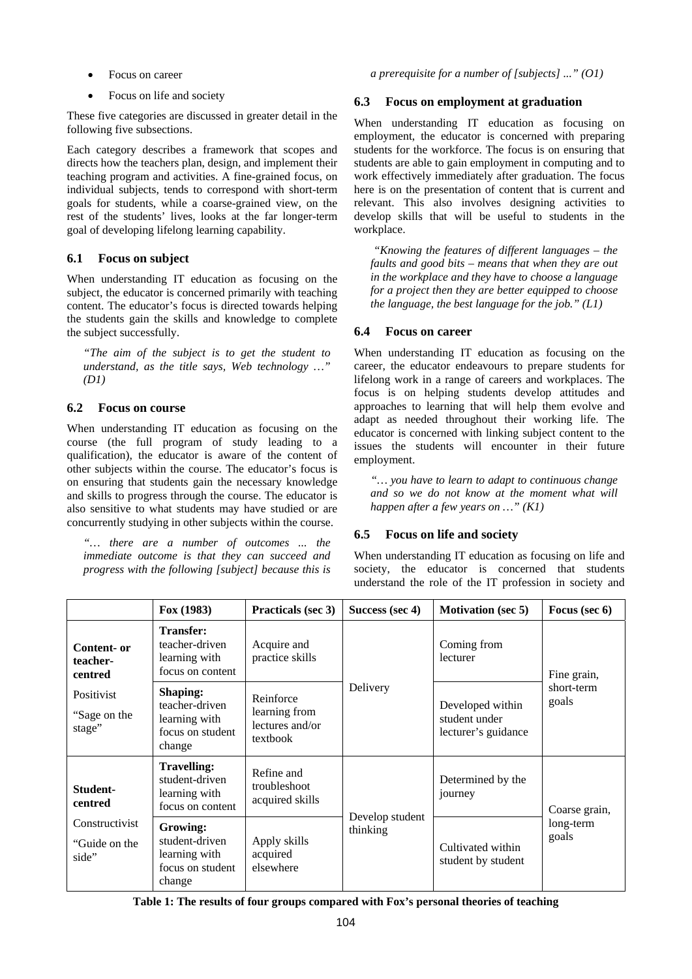- Focus on career
- Focus on life and society

These five categories are discussed in greater detail in the following five subsections.

Each category describes a framework that scopes and directs how the teachers plan, design, and implement their teaching program and activities. A fine-grained focus, on individual subjects, tends to correspond with short-term goals for students, while a coarse-grained view, on the rest of the students' lives, looks at the far longer-term goal of developing lifelong learning capability.

# **6.1 Focus on subject**

When understanding IT education as focusing on the subject, the educator is concerned primarily with teaching content. The educator's focus is directed towards helping the students gain the skills and knowledge to complete the subject successfully.

*"The aim of the subject is to get the student to understand, as the title says, Web technology …" (D1)*

# **6.2 Focus on course**

When understanding IT education as focusing on the course (the full program of study leading to a qualification), the educator is aware of the content of other subjects within the course. The educator's focus is on ensuring that students gain the necessary knowledge and skills to progress through the course. The educator is also sensitive to what students may have studied or are concurrently studying in other subjects within the course.

*"… there are a number of outcomes ... the immediate outcome is that they can succeed and progress with the following [subject] because this is* 

### **6.3 Focus on employment at graduation**

When understanding IT education as focusing on employment, the educator is concerned with preparing students for the workforce. The focus is on ensuring that students are able to gain employment in computing and to work effectively immediately after graduation. The focus here is on the presentation of content that is current and relevant. This also involves designing activities to develop skills that will be useful to students in the workplace.

 *"Knowing the features of different languages – the faults and good bits – means that when they are out in the workplace and they have to choose a language for a project then they are better equipped to choose the language, the best language for the job." (L1)* 

# **6.4 Focus on career**

When understanding IT education as focusing on the career, the educator endeavours to prepare students for lifelong work in a range of careers and workplaces. The focus is on helping students develop attitudes and approaches to learning that will help them evolve and adapt as needed throughout their working life. The educator is concerned with linking subject content to the issues the students will encounter in their future employment.

*"… you have to learn to adapt to continuous change and so we do not know at the moment what will happen after a few years on …" (K1)* 

# **6.5 Focus on life and society**

When understanding IT education as focusing on life and society, the educator is concerned that students understand the role of the IT profession in society and

|                                          | Fox(1983)                                                                        | <b>Practicals (sec 3)</b>                                 | Success (sec 4)             | <b>Motivation</b> (sec 5)                                | Focus (sec 6)                       |
|------------------------------------------|----------------------------------------------------------------------------------|-----------------------------------------------------------|-----------------------------|----------------------------------------------------------|-------------------------------------|
| Content- or<br>teacher-<br>centred       | <b>Transfer:</b><br>teacher-driven<br>learning with<br>focus on content          | Acquire and<br>practice skills                            | Delivery                    | Coming from<br>lecturer                                  | Fine grain,<br>short-term<br>goals  |
| Positivist<br>"Sage on the<br>stage"     | <b>Shaping:</b><br>teacher-driven<br>learning with<br>focus on student<br>change | Reinforce<br>learning from<br>lectures and/or<br>textbook |                             | Developed within<br>student under<br>lecturer's guidance |                                     |
| Student-<br>centred                      | <b>Travelling:</b><br>student-driven<br>learning with<br>focus on content        | Refine and<br>troubleshoot<br>acquired skills             | Develop student<br>thinking | Determined by the<br>journey                             | Coarse grain,<br>long-term<br>goals |
| Constructivist<br>"Guide on the<br>side" | Growing:<br>student-driven<br>learning with<br>focus on student<br>change        | Apply skills<br>acquired<br>elsewhere                     |                             | Cultivated within<br>student by student                  |                                     |

**Table 1: The results of four groups compared with Fox's personal theories of teaching**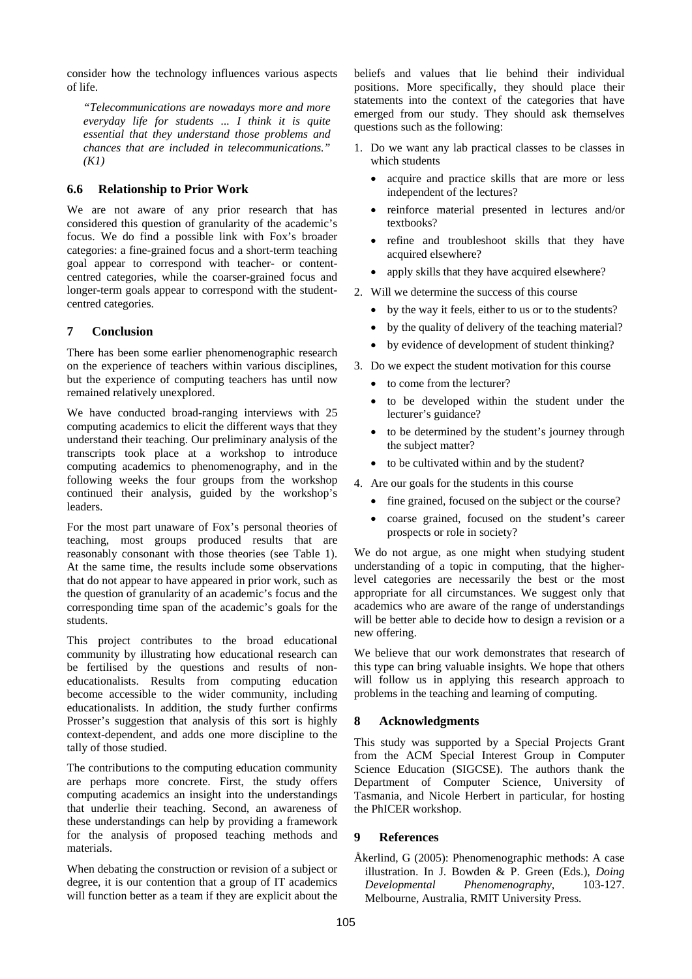consider how the technology influences various aspects of life.

*"Telecommunications are nowadays more and more everyday life for students ... I think it is quite essential that they understand those problems and chances that are included in telecommunications." (K1)* 

# **6.6 Relationship to Prior Work**

We are not aware of any prior research that has considered this question of granularity of the academic's focus. We do find a possible link with Fox's broader categories: a fine-grained focus and a short-term teaching goal appear to correspond with teacher- or contentcentred categories, while the coarser-grained focus and longer-term goals appear to correspond with the studentcentred categories.

# **7 Conclusion**

There has been some earlier phenomenographic research on the experience of teachers within various disciplines, but the experience of computing teachers has until now remained relatively unexplored.

We have conducted broad-ranging interviews with 25 computing academics to elicit the different ways that they understand their teaching. Our preliminary analysis of the transcripts took place at a workshop to introduce computing academics to phenomenography, and in the following weeks the four groups from the workshop continued their analysis, guided by the workshop's leaders.

For the most part unaware of Fox's personal theories of teaching, most groups produced results that are reasonably consonant with those theories (see Table 1). At the same time, the results include some observations that do not appear to have appeared in prior work, such as the question of granularity of an academic's focus and the corresponding time span of the academic's goals for the students.

This project contributes to the broad educational community by illustrating how educational research can be fertilised by the questions and results of noneducationalists. Results from computing education become accessible to the wider community, including educationalists. In addition, the study further confirms Prosser's suggestion that analysis of this sort is highly context-dependent, and adds one more discipline to the tally of those studied.

The contributions to the computing education community are perhaps more concrete. First, the study offers computing academics an insight into the understandings that underlie their teaching. Second, an awareness of these understandings can help by providing a framework for the analysis of proposed teaching methods and materials.

When debating the construction or revision of a subject or degree, it is our contention that a group of IT academics will function better as a team if they are explicit about the beliefs and values that lie behind their individual positions. More specifically, they should place their statements into the context of the categories that have emerged from our study. They should ask themselves questions such as the following:

- 1. Do we want any lab practical classes to be classes in which students
	- acquire and practice skills that are more or less independent of the lectures?
	- reinforce material presented in lectures and/or textbooks?
	- refine and troubleshoot skills that they have acquired elsewhere?
	- apply skills that they have acquired elsewhere?
- 2. Will we determine the success of this course
	- by the way it feels, either to us or to the students?
	- by the quality of delivery of the teaching material?
	- by evidence of development of student thinking?
- 3. Do we expect the student motivation for this course
	- to come from the lecturer?
	- to be developed within the student under the lecturer's guidance?
	- to be determined by the student's journey through the subject matter?
	- to be cultivated within and by the student?
- 4. Are our goals for the students in this course
	- fine grained, focused on the subject or the course?
	- coarse grained, focused on the student's career prospects or role in society?

We do not argue, as one might when studying student understanding of a topic in computing, that the higherlevel categories are necessarily the best or the most appropriate for all circumstances. We suggest only that academics who are aware of the range of understandings will be better able to decide how to design a revision or a new offering.

We believe that our work demonstrates that research of this type can bring valuable insights. We hope that others will follow us in applying this research approach to problems in the teaching and learning of computing.

# **8 Acknowledgments**

This study was supported by a Special Projects Grant from the ACM Special Interest Group in Computer Science Education (SIGCSE). The authors thank the Department of Computer Science, University of Tasmania, and Nicole Herbert in particular, for hosting the PhICER workshop.

### **9 References**

Åkerlind, G (2005): Phenomenographic methods: A case illustration. In J. Bowden & P. Green (Eds.), *Doing Developmental Phenomenography*, 103-127. Melbourne, Australia, RMIT University Press.